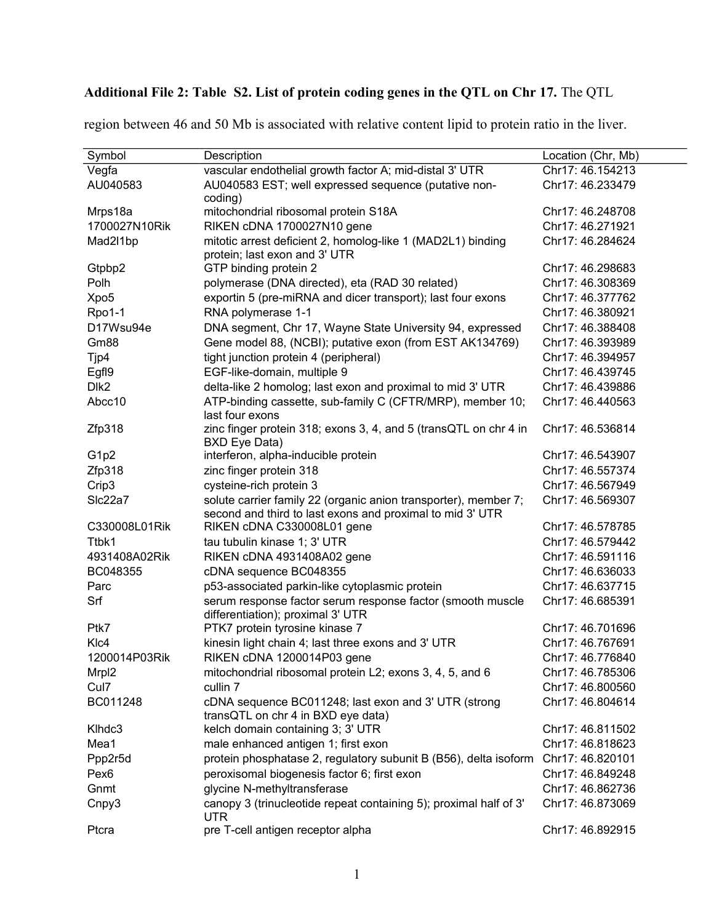## **Additional File 2: Table S2. List of protein coding genes in the QTL on Chr 17.** The QTL

| Symbol            | Description                                                              | Location (Chr, Mb) |
|-------------------|--------------------------------------------------------------------------|--------------------|
| Vegfa             | vascular endothelial growth factor A; mid-distal 3' UTR                  | Chr17: 46.154213   |
| AU040583          | AU040583 EST; well expressed sequence (putative non-                     | Chr17: 46.233479   |
|                   | coding)                                                                  |                    |
| Mrps18a           | mitochondrial ribosomal protein S18A                                     | Chr17: 46.248708   |
| 1700027N10Rik     | RIKEN cDNA 1700027N10 gene                                               | Chr17: 46.271921   |
| Mad2l1bp          | mitotic arrest deficient 2, homolog-like 1 (MAD2L1) binding              | Chr17: 46.284624   |
|                   | protein; last exon and 3' UTR                                            |                    |
| Gtpbp2            | GTP binding protein 2                                                    | Chr17: 46.298683   |
| Polh              | polymerase (DNA directed), eta (RAD 30 related)                          | Chr17: 46.308369   |
| Xpo <sub>5</sub>  | exportin 5 (pre-miRNA and dicer transport); last four exons              | Chr17: 46.377762   |
| Rpo1-1            | RNA polymerase 1-1                                                       | Chr17: 46.380921   |
| D17Wsu94e         | DNA segment, Chr 17, Wayne State University 94, expressed                | Chr17: 46.388408   |
| Gm88              | Gene model 88, (NCBI); putative exon (from EST AK134769)                 | Chr17: 46.393989   |
| Tjp4              | tight junction protein 4 (peripheral)                                    | Chr17: 46.394957   |
| Egf <sub>19</sub> | EGF-like-domain, multiple 9                                              | Chr17: 46.439745   |
| Dlk <sub>2</sub>  | delta-like 2 homolog; last exon and proximal to mid 3' UTR               | Chr17: 46.439886   |
| Abcc10            | ATP-binding cassette, sub-family C (CFTR/MRP), member 10;                | Chr17: 46.440563   |
|                   | last four exons                                                          |                    |
| Zfp318            | zinc finger protein 318; exons 3, 4, and 5 (transQTL on chr 4 in         | Chr17: 46.536814   |
|                   | BXD Eye Data)                                                            |                    |
| G1p2              | interferon, alpha-inducible protein                                      | Chr17: 46.543907   |
| Zfp318            | zinc finger protein 318                                                  | Chr17: 46.557374   |
| Crip3             | cysteine-rich protein 3                                                  | Chr17: 46.567949   |
| Slc22a7           | solute carrier family 22 (organic anion transporter), member 7;          | Chr17: 46.569307   |
|                   | second and third to last exons and proximal to mid 3' UTR                |                    |
| C330008L01Rik     | RIKEN cDNA C330008L01 gene                                               | Chr17: 46.578785   |
| Ttbk1             | tau tubulin kinase 1; 3' UTR                                             | Chr17: 46.579442   |
| 4931408A02Rik     | RIKEN cDNA 4931408A02 gene                                               | Chr17: 46.591116   |
| BC048355          | cDNA sequence BC048355                                                   | Chr17: 46.636033   |
| Parc              | p53-associated parkin-like cytoplasmic protein                           | Chr17: 46.637715   |
| Srf               | serum response factor serum response factor (smooth muscle               | Chr17: 46.685391   |
|                   | differentiation); proximal 3' UTR                                        |                    |
| Ptk7              | PTK7 protein tyrosine kinase 7                                           | Chr17: 46.701696   |
| KI <sub>c4</sub>  | kinesin light chain 4; last three exons and 3' UTR                       | Chr17: 46.767691   |
| 1200014P03Rik     | RIKEN cDNA 1200014P03 gene                                               | Chr17: 46.776840   |
| Mrpl2             | mitochondrial ribosomal protein L2; exons 3, 4, 5, and 6                 | Chr17: 46.785306   |
| Cul7              | cullin 7                                                                 | Chr17: 46.800560   |
| BC011248          | cDNA sequence BC011248; last exon and 3' UTR (strong                     | Chr17: 46.804614   |
|                   | transQTL on chr 4 in BXD eye data)                                       |                    |
| Klhdc3            | kelch domain containing 3; 3' UTR                                        | Chr17: 46.811502   |
| Mea1              | male enhanced antigen 1; first exon                                      | Chr17: 46.818623   |
| Ppp2r5d           | protein phosphatase 2, regulatory subunit B (B56), delta isoform         | Chr17: 46.820101   |
| Pex <sub>6</sub>  | peroxisomal biogenesis factor 6; first exon                              | Chr17: 46.849248   |
| Gnmt              | glycine N-methyltransferase                                              | Chr17: 46.862736   |
| Cnpy3             | canopy 3 (trinucleotide repeat containing 5); proximal half of 3'<br>UTR | Chr17: 46.873069   |
| Ptcra             | pre T-cell antigen receptor alpha                                        | Chr17: 46.892915   |

region between 46 and 50 Mb is associated with relative content lipid to protein ratio in the liver.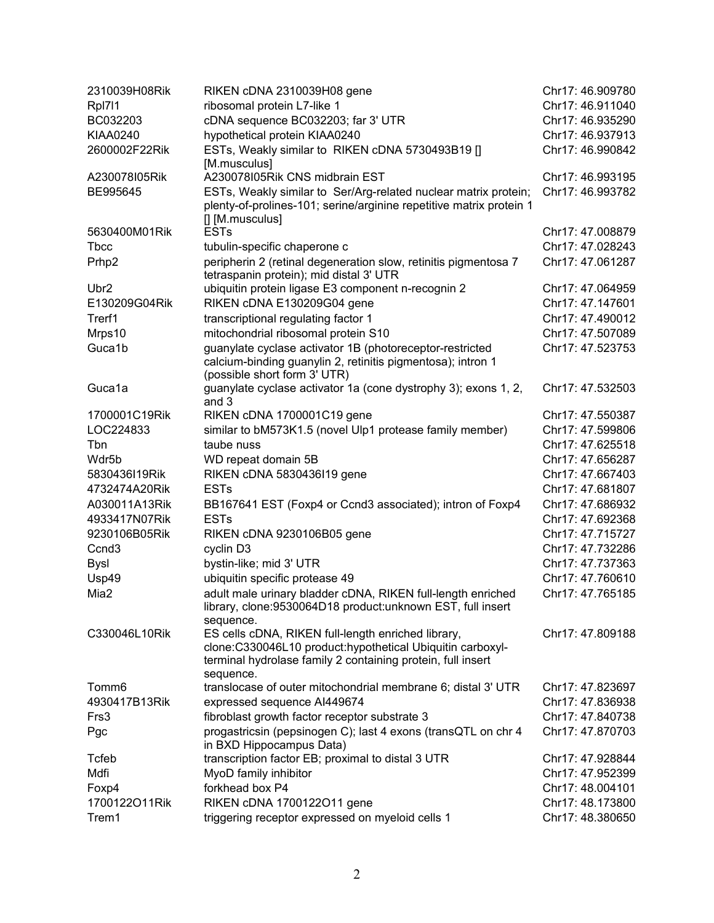| 2310039H08Rik     | RIKEN cDNA 2310039H08 gene                                                                    | Chr17: 46.909780 |
|-------------------|-----------------------------------------------------------------------------------------------|------------------|
| Rpl711            | ribosomal protein L7-like 1                                                                   | Chr17: 46.911040 |
| BC032203          | cDNA sequence BC032203; far 3' UTR                                                            | Chr17: 46.935290 |
| <b>KIAA0240</b>   | hypothetical protein KIAA0240                                                                 | Chr17: 46.937913 |
| 2600002F22Rik     | ESTs, Weakly similar to RIKEN cDNA 5730493B19 []                                              | Chr17: 46.990842 |
|                   | [M.musculus]                                                                                  |                  |
| A230078I05Rik     | A230078I05Rik CNS midbrain EST                                                                | Chr17: 46.993195 |
| BE995645          | ESTs, Weakly similar to Ser/Arg-related nuclear matrix protein;                               | Chr17: 46.993782 |
|                   | plenty-of-prolines-101; serine/arginine repetitive matrix protein 1                           |                  |
|                   | [] [M.musculus]                                                                               |                  |
| 5630400M01Rik     | <b>ESTs</b>                                                                                   | Chr17: 47.008879 |
| <b>T</b> bcc      | tubulin-specific chaperone c                                                                  | Chr17: 47.028243 |
| Prhp2             | peripherin 2 (retinal degeneration slow, retinitis pigmentosa 7                               | Chr17: 47.061287 |
| Ubr <sub>2</sub>  | tetraspanin protein); mid distal 3' UTR<br>ubiquitin protein ligase E3 component n-recognin 2 | Chr17: 47.064959 |
| E130209G04Rik     | RIKEN cDNA E130209G04 gene                                                                    | Chr17: 47.147601 |
| Trerf1            |                                                                                               | Chr17: 47.490012 |
|                   | transcriptional regulating factor 1<br>mitochondrial ribosomal protein S10                    |                  |
| Mrps10            |                                                                                               | Chr17: 47.507089 |
| Guca1b            | guanylate cyclase activator 1B (photoreceptor-restricted                                      | Chr17: 47.523753 |
|                   | calcium-binding guanylin 2, retinitis pigmentosa); intron 1<br>(possible short form 3' UTR)   |                  |
| Guca1a            | guanylate cyclase activator 1a (cone dystrophy 3); exons 1, 2,                                | Chr17: 47.532503 |
|                   | and 3                                                                                         |                  |
| 1700001C19Rik     | RIKEN cDNA 1700001C19 gene                                                                    | Chr17: 47.550387 |
| LOC224833         | similar to bM573K1.5 (novel Ulp1 protease family member)                                      | Chr17: 47.599806 |
| Tbn               | taube nuss                                                                                    | Chr17: 47.625518 |
| Wdr5b             | WD repeat domain 5B                                                                           | Chr17: 47.656287 |
| 5830436I19Rik     | RIKEN cDNA 5830436119 gene                                                                    | Chr17: 47.667403 |
| 4732474A20Rik     | <b>ESTs</b>                                                                                   | Chr17: 47.681807 |
| A030011A13Rik     | BB167641 EST (Foxp4 or Ccnd3 associated); intron of Foxp4                                     | Chr17: 47.686932 |
| 4933417N07Rik     | <b>ESTs</b>                                                                                   | Chr17: 47.692368 |
| 9230106B05Rik     | RIKEN cDNA 9230106B05 gene                                                                    | Chr17: 47.715727 |
| Ccnd <sub>3</sub> | cyclin D3                                                                                     | Chr17: 47.732286 |
| <b>Bysl</b>       | bystin-like; mid 3' UTR                                                                       | Chr17: 47.737363 |
| Usp49             | ubiquitin specific protease 49                                                                | Chr17: 47.760610 |
| Mia2              | adult male urinary bladder cDNA, RIKEN full-length enriched                                   | Chr17: 47.765185 |
|                   | library, clone:9530064D18 product:unknown EST, full insert                                    |                  |
|                   | sequence.                                                                                     |                  |
| C330046L10Rik     | ES cells cDNA, RIKEN full-length enriched library,                                            | Chr17: 47.809188 |
|                   | clone:C330046L10 product:hypothetical Ubiquitin carboxyl-                                     |                  |
|                   | terminal hydrolase family 2 containing protein, full insert                                   |                  |
|                   | sequence.                                                                                     |                  |
| Tomm <sub>6</sub> | translocase of outer mitochondrial membrane 6; distal 3' UTR                                  | Chr17: 47.823697 |
| 4930417B13Rik     | expressed sequence Al449674                                                                   | Chr17: 47.836938 |
| Frs3              | fibroblast growth factor receptor substrate 3                                                 | Chr17: 47.840738 |
| Pgc               | progastricsin (pepsinogen C); last 4 exons (transQTL on chr 4<br>in BXD Hippocampus Data)     | Chr17: 47.870703 |
| Tcfeb             | transcription factor EB; proximal to distal 3 UTR                                             | Chr17: 47.928844 |
| Mdfi              | MyoD family inhibitor                                                                         | Chr17: 47.952399 |
| Foxp4             | forkhead box P4                                                                               | Chr17: 48.004101 |
| 1700122O11Rik     | RIKEN cDNA 1700122O11 gene                                                                    | Chr17: 48.173800 |
| Trem1             | triggering receptor expressed on myeloid cells 1                                              | Chr17: 48.380650 |
|                   |                                                                                               |                  |